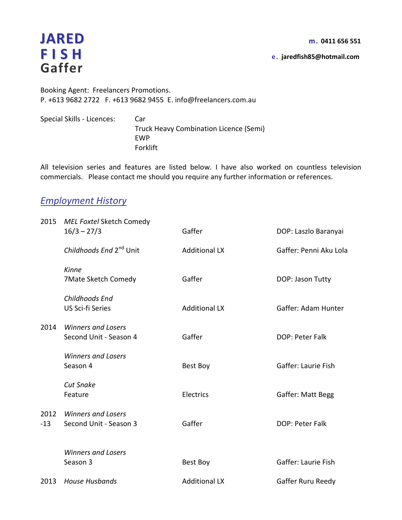e. jaredfish85@hotmail.com

**JARED** m. 0411 656 551<br> **FISH** e. jaredfish85@hotmail.com Gaffer

Booking Agent: Freelancers Promotions. P. +613 9682 2722 F. +613 9682 9455 E. info@freelancers.com.au

Special Skills - Licences: Car Truck Heavy Combination Licence (Semi) EWP Forklift

All television series and features are listed below. I have also worked on countless television commercials. Please contact me should you require any further information or references.

## Employment History

| 2015  | <b>MEL Foxtel Sketch Comedy</b><br>$16/3 - 27/3$    | Gaffer               | DOP: Laszlo Baranyai   |
|-------|-----------------------------------------------------|----------------------|------------------------|
|       | Childhoods End 2 <sup>nd</sup> Unit                 | <b>Additional LX</b> | Gaffer: Penni Aku Lola |
|       | Kinne<br>7Mate Sketch Comedy                        | Gaffer               | DOP: Jason Tutty       |
|       | Childhoods End<br>US Sci-fi Series                  | <b>Additional LX</b> | Gaffer: Adam Hunter    |
| 2014  | <b>Winners and Losers</b><br>Second Unit - Season 4 | Gaffer               | DOP: Peter Falk        |
|       | <b>Winners and Losers</b><br>Season 4               | Best Boy             | Gaffer: Laurie Fish    |
|       | <b>Cut Snake</b><br>Feature                         | Electrics            | Gaffer: Matt Begg      |
| $-13$ | 2012 Winners and Losers<br>Second Unit - Season 3   | Gaffer               | DOP: Peter Falk        |
|       | <b>Winners and Losers</b><br>Season 3               | Best Boy             | Gaffer: Laurie Fish    |
| 2013  | <b>House Husbands</b>                               | <b>Additional LX</b> | Gaffer Ruru Reedy      |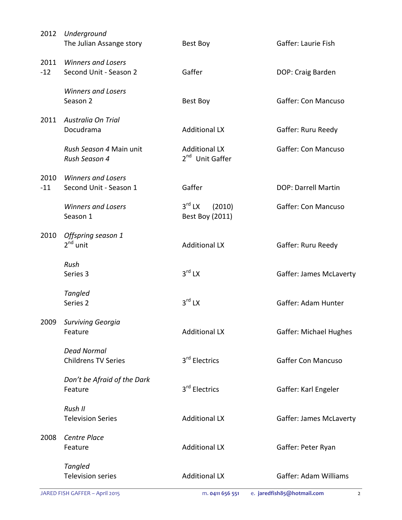| DOP: Craig Barden<br>Gaffer: Con Mancuso<br>Gaffer: Ruru Reedy<br><b>Gaffer: Con Mancuso</b> |
|----------------------------------------------------------------------------------------------|
|                                                                                              |
|                                                                                              |
|                                                                                              |
|                                                                                              |
| <b>DOP: Darrell Martin</b>                                                                   |
| <b>Gaffer: Con Mancuso</b>                                                                   |
| Gaffer: Ruru Reedy                                                                           |
| Gaffer: James McLaverty                                                                      |
| Gaffer: Adam Hunter                                                                          |
| Gaffer: Michael Hughes                                                                       |
| <b>Gaffer Con Mancuso</b>                                                                    |
| Gaffer: Karl Engeler                                                                         |
| Gaffer: James McLaverty                                                                      |
|                                                                                              |
| Gaffer: Peter Ryan                                                                           |
|                                                                                              |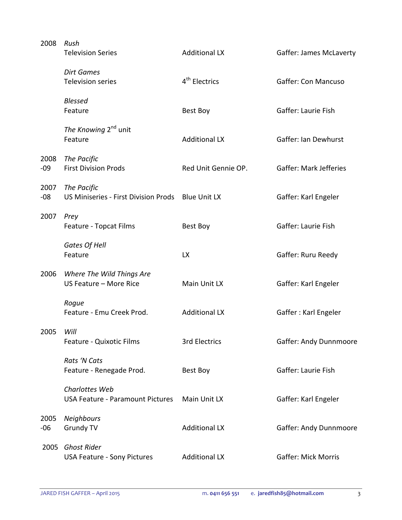| 2008          | Rush<br><b>Television Series</b>                          | <b>Additional LX</b>      | Gaffer: James McLaverty       |
|---------------|-----------------------------------------------------------|---------------------------|-------------------------------|
|               | <b>Dirt Games</b><br><b>Television series</b>             | 4 <sup>th</sup> Electrics | <b>Gaffer: Con Mancuso</b>    |
|               | <b>Blessed</b><br>Feature                                 | Best Boy                  | Gaffer: Laurie Fish           |
|               | The Knowing 2 <sup>nd</sup> unit<br>Feature               | <b>Additional LX</b>      | Gaffer: Ian Dewhurst          |
| 2008<br>$-09$ | The Pacific<br><b>First Division Prods</b>                | Red Unit Gennie OP.       | <b>Gaffer: Mark Jefferies</b> |
| 2007<br>$-08$ | The Pacific<br>US Miniseries - First Division Prods       | <b>Blue Unit LX</b>       | Gaffer: Karl Engeler          |
| 2007          | Prey<br>Feature - Topcat Films                            | Best Boy                  | Gaffer: Laurie Fish           |
|               | Gates Of Hell<br>Feature                                  | <b>LX</b>                 | Gaffer: Ruru Reedy            |
| 2006          | Where The Wild Things Are<br>US Feature - More Rice       | Main Unit LX              | Gaffer: Karl Engeler          |
|               | Rogue<br>Feature - Emu Creek Prod.                        | <b>Additional LX</b>      | Gaffer: Karl Engeler          |
| 2005          | Will<br>Feature - Quixotic Films                          | 3rd Electrics             | Gaffer: Andy Dunnmoore        |
|               | Rats 'N Cats<br>Feature - Renegade Prod.                  | Best Boy                  | Gaffer: Laurie Fish           |
|               | Charlottes Web<br><b>USA Feature - Paramount Pictures</b> | Main Unit LX              | Gaffer: Karl Engeler          |
| 2005<br>$-06$ | <b>Neighbours</b><br><b>Grundy TV</b>                     | <b>Additional LX</b>      | Gaffer: Andy Dunnmoore        |
| 2005          | <b>Ghost Rider</b><br><b>USA Feature - Sony Pictures</b>  | <b>Additional LX</b>      | <b>Gaffer: Mick Morris</b>    |